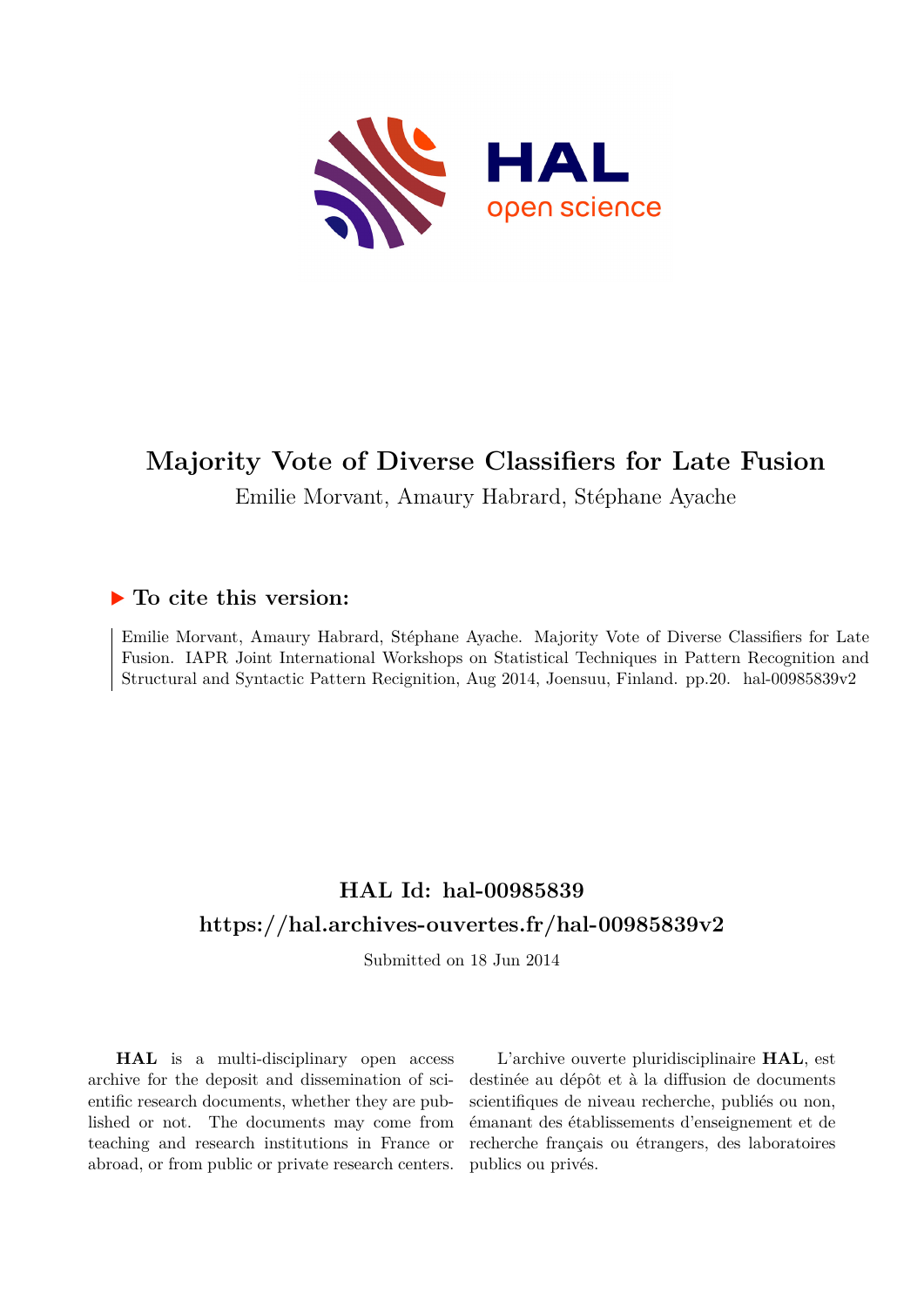

Emilie Morvant, Amaury Habrard, Stéphane Ayache

# **To cite this version:**

Emilie Morvant, Amaury Habrard, Stéphane Ayache. Majority Vote of Diverse Classifiers for Late Fusion. IAPR Joint International Workshops on Statistical Techniques in Pattern Recognition and Structural and Syntactic Pattern Recignition, Aug 2014, Joensuu, Finland. pp.20. hal-00985839v2

# **HAL Id: hal-00985839 <https://hal.archives-ouvertes.fr/hal-00985839v2>**

Submitted on 18 Jun 2014

**HAL** is a multi-disciplinary open access archive for the deposit and dissemination of scientific research documents, whether they are published or not. The documents may come from teaching and research institutions in France or abroad, or from public or private research centers.

L'archive ouverte pluridisciplinaire **HAL**, est destinée au dépôt et à la diffusion de documents scientifiques de niveau recherche, publiés ou non, émanant des établissements d'enseignement et de recherche français ou étrangers, des laboratoires publics ou privés.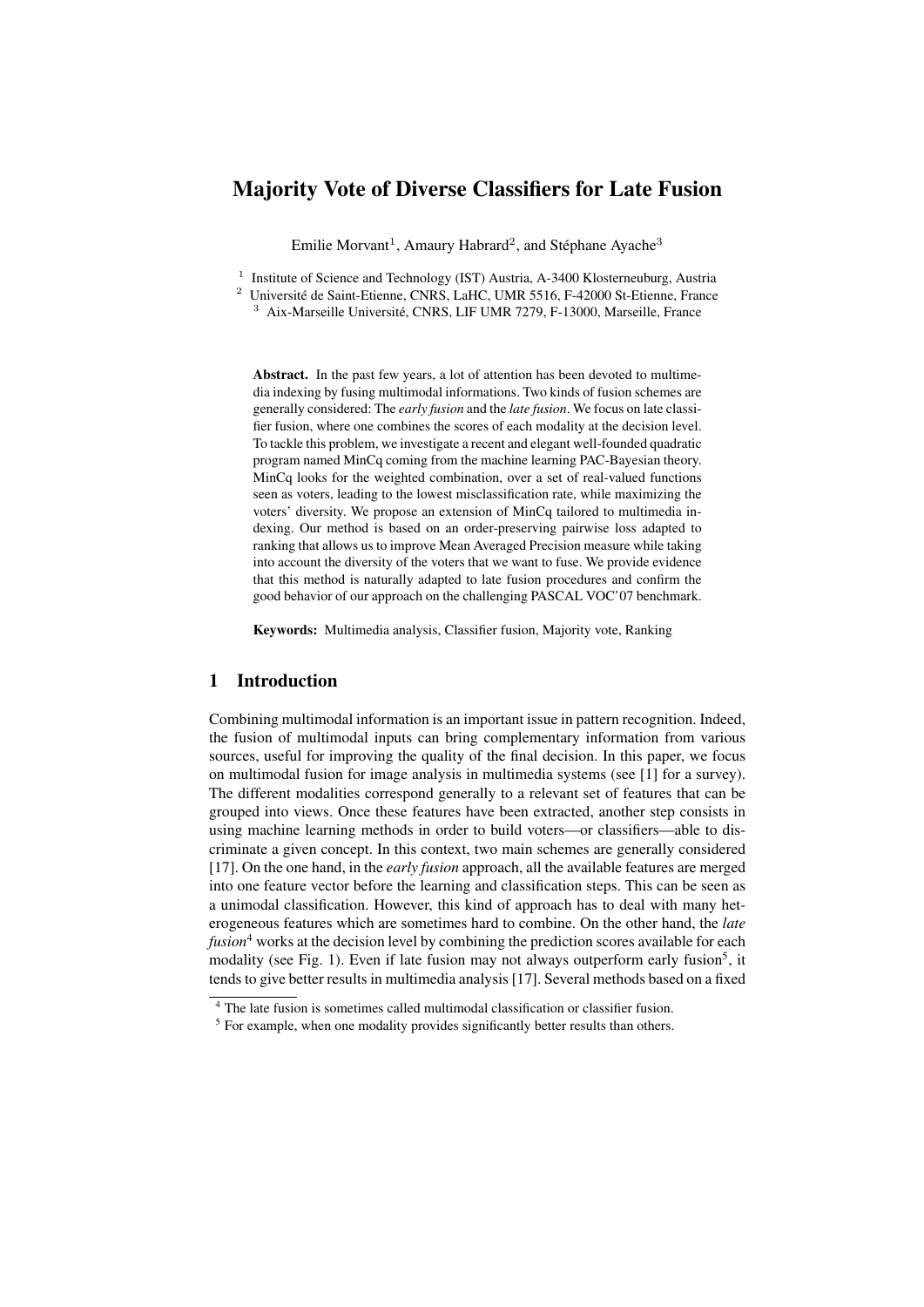Emilie Morvant<sup>1</sup>, Amaury Habrard<sup>2</sup>, and Stéphane Ayache<sup>3</sup>

<sup>1</sup> Institute of Science and Technology (IST) Austria, A-3400 Klosterneuburg, Austria

 $2$  Université de Saint-Etienne, CNRS, LaHC, UMR 5516, F-42000 St-Etienne, France

<sup>3</sup> Aix-Marseille Université, CNRS, LIF UMR 7279, F-13000, Marseille, France

Abstract. In the past few years, a lot of attention has been devoted to multimedia indexing by fusing multimodal informations. Two kinds of fusion schemes are generally considered: The *early fusion* and the *late fusion*. We focus on late classifier fusion, where one combines the scores of each modality at the decision level. To tackle this problem, we investigate a recent and elegant well-founded quadratic program named MinCq coming from the machine learning PAC-Bayesian theory. MinCq looks for the weighted combination, over a set of real-valued functions seen as voters, leading to the lowest misclassification rate, while maximizing the voters' diversity. We propose an extension of MinCq tailored to multimedia indexing. Our method is based on an order-preserving pairwise loss adapted to ranking that allows us to improve Mean Averaged Precision measure while taking into account the diversity of the voters that we want to fuse. We provide evidence that this method is naturally adapted to late fusion procedures and confirm the good behavior of our approach on the challenging PASCAL VOC'07 benchmark.

Keywords: Multimedia analysis, Classifier fusion, Majority vote, Ranking

### 1 Introduction

Combining multimodal information is an important issue in pattern recognition. Indeed, the fusion of multimodal inputs can bring complementary information from various sources, useful for improving the quality of the final decision. In this paper, we focus on multimodal fusion for image analysis in multimedia systems (see [1] for a survey). The different modalities correspond generally to a relevant set of features that can be grouped into views. Once these features have been extracted, another step consists in using machine learning methods in order to build voters—or classifiers—able to discriminate a given concept. In this context, two main schemes are generally considered [17]. On the one hand, in the *early fusion* approach, all the available features are merged into one feature vector before the learning and classification steps. This can be seen as a unimodal classification. However, this kind of approach has to deal with many heterogeneous features which are sometimes hard to combine. On the other hand, the *late fusion*<sup>4</sup> works at the decision level by combining the prediction scores available for each modality (see Fig. 1). Even if late fusion may not always outperform early fusion<sup>5</sup>, it tends to give better results in multimedia analysis [17]. Several methods based on a fixed

<sup>&</sup>lt;sup>4</sup> The late fusion is sometimes called multimodal classification or classifier fusion.

<sup>&</sup>lt;sup>5</sup> For example, when one modality provides significantly better results than others.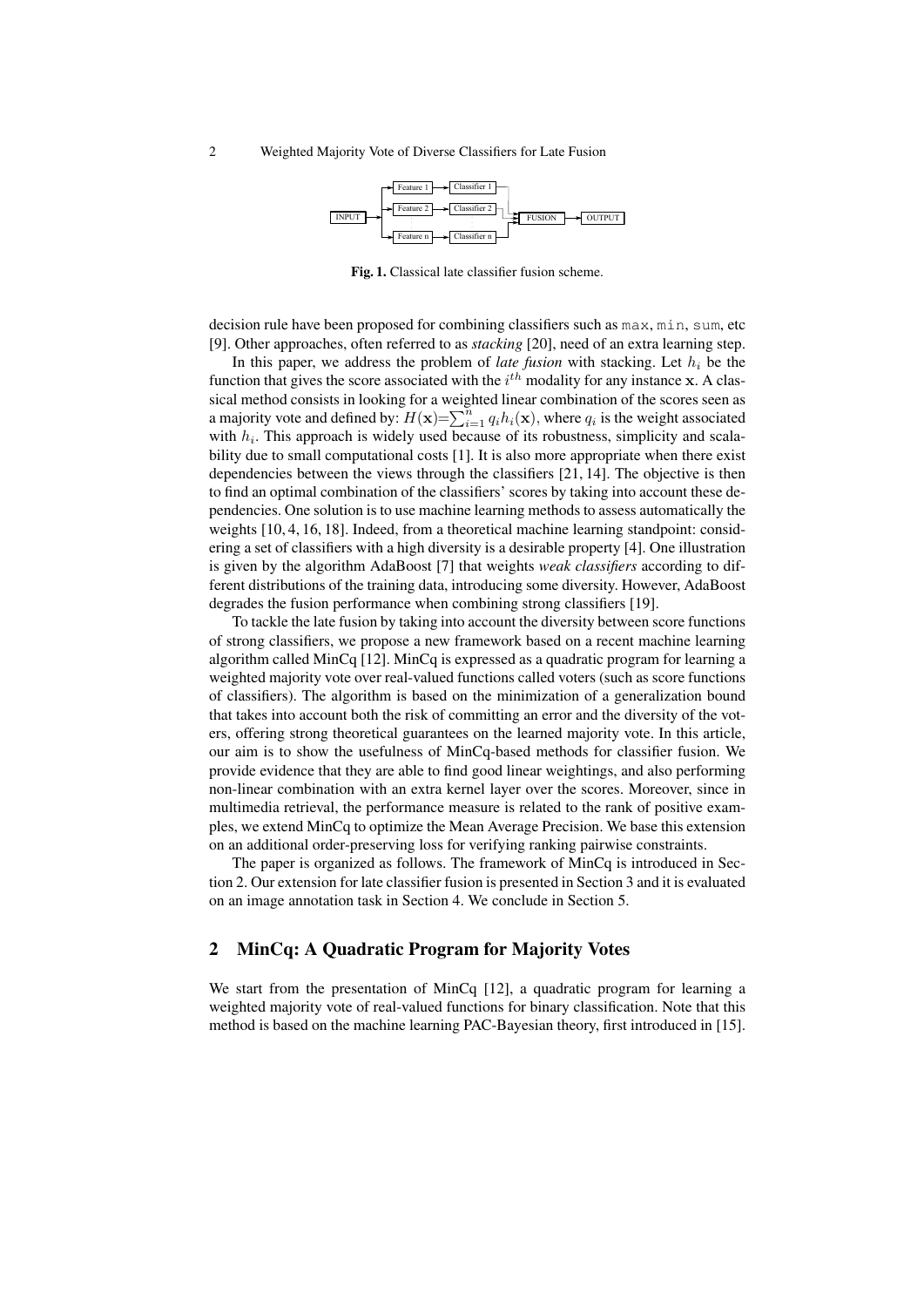

Fig. 1. Classical late classifier fusion scheme.

decision rule have been proposed for combining classifiers such as max, min, sum, etc [9]. Other approaches, often referred to as *stacking* [20], need of an extra learning step.

In this paper, we address the problem of *late fusion* with stacking. Let  $h_i$  be the function that gives the score associated with the  $i^{th}$  modality for any instance x. A classical method consists in looking for a weighted linear combination of the scores seen as a majority vote and defined by:  $H(\mathbf{x}) = \sum_{i=1}^{n} q_i h_i(\mathbf{x})$ , where  $q_i$  is the weight associated with  $h_i$ . This approach is widely used because of its robustness, simplicity and scalability due to small computational costs [1]. It is also more appropriate when there exist dependencies between the views through the classifiers [21, 14]. The objective is then to find an optimal combination of the classifiers' scores by taking into account these dependencies. One solution is to use machine learning methods to assess automatically the weights [10, 4, 16, 18]. Indeed, from a theoretical machine learning standpoint: considering a set of classifiers with a high diversity is a desirable property [4]. One illustration is given by the algorithm AdaBoost [7] that weights *weak classifiers* according to different distributions of the training data, introducing some diversity. However, AdaBoost degrades the fusion performance when combining strong classifiers [19].

To tackle the late fusion by taking into account the diversity between score functions of strong classifiers, we propose a new framework based on a recent machine learning algorithm called MinCq [12]. MinCq is expressed as a quadratic program for learning a weighted majority vote over real-valued functions called voters (such as score functions of classifiers). The algorithm is based on the minimization of a generalization bound that takes into account both the risk of committing an error and the diversity of the voters, offering strong theoretical guarantees on the learned majority vote. In this article, our aim is to show the usefulness of MinCq-based methods for classifier fusion. We provide evidence that they are able to find good linear weightings, and also performing non-linear combination with an extra kernel layer over the scores. Moreover, since in multimedia retrieval, the performance measure is related to the rank of positive examples, we extend MinCq to optimize the Mean Average Precision. We base this extension on an additional order-preserving loss for verifying ranking pairwise constraints.

The paper is organized as follows. The framework of MinCq is introduced in Section 2. Our extension for late classifier fusion is presented in Section 3 and it is evaluated on an image annotation task in Section 4. We conclude in Section 5.

## 2 MinCq: A Quadratic Program for Majority Votes

We start from the presentation of MinCq [12], a quadratic program for learning a weighted majority vote of real-valued functions for binary classification. Note that this method is based on the machine learning PAC-Bayesian theory, first introduced in [15].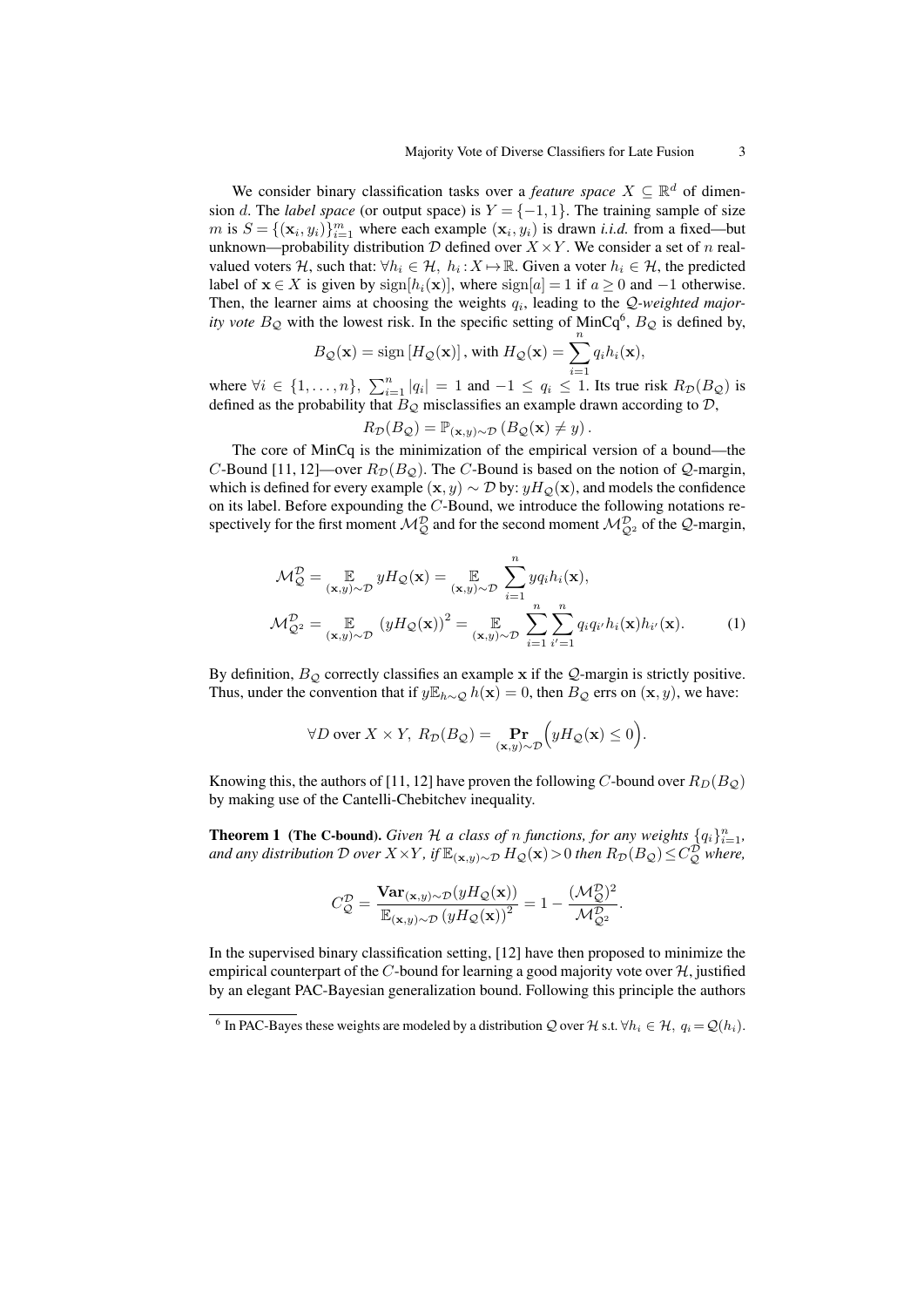We consider binary classification tasks over a *feature space*  $X \subseteq \mathbb{R}^d$  of dimension d. The *label space* (or output space) is  $Y = \{-1, 1\}$ . The training sample of size m is  $S = \{(\mathbf{x}_i, y_i)\}_{i=1}^m$  where each example  $(\mathbf{x}_i, y_i)$  is drawn *i.i.d.* from a fixed—but unknown—probability distribution  $D$  defined over  $X \times Y$ . We consider a set of n realvalued voters H, such that:  $\forall h_i \in \mathcal{H}, h_i : X \mapsto \mathbb{R}$ . Given a voter  $h_i \in \mathcal{H}$ , the predicted label of  $\mathbf{x} \in X$  is given by sign[h<sub>i</sub>( $\mathbf{x}$ )], where sign[a] = 1 if a ≥ 0 and −1 otherwise. Then, the learner aims at choosing the weights  $q_i$ , leading to the  $Q$ -weighted major*ity vote*  $B_{\mathcal{Q}}$  with the lowest risk. In the specific setting of MinCq<sup>6</sup>,  $B_{\mathcal{Q}}$  is defined by,

$$
B_{\mathcal{Q}}(\mathbf{x}) = \text{sign}[H_{\mathcal{Q}}(\mathbf{x})], \text{ with } H_{\mathcal{Q}}(\mathbf{x}) = \sum_{i=1}^{n} q_i h_i(\mathbf{x}),
$$

where  $\forall i \in \{1, ..., n\}, \sum_{i=1}^{n} |q_i| = 1$  and  $-1 \le q_i \le 1$ . Its true risk  $R_{\mathcal{D}}(B_{\mathcal{Q}})$  is defined as the probability that  $B_{\mathcal{Q}}$  misclassifies an example drawn according to  $\mathcal{D}$ ,

$$
R_{\mathcal{D}}(B_{\mathcal{Q}}) = \mathbb{P}_{(\mathbf{x},y)\sim\mathcal{D}}\left(B_{\mathcal{Q}}(\mathbf{x}) \neq y\right).
$$

The core of MinCq is the minimization of the empirical version of a bound—the C-Bound [11, 12]—over  $R_D(B_O)$ . The C-Bound is based on the notion of Q-margin, which is defined for every example  $(x, y) \sim \mathcal{D}$  by:  $yH_{\mathcal{Q}}(x)$ , and models the confidence on its label. Before expounding the C-Bound, we introduce the following notations respectively for the first moment  $\mathcal{M}^{\mathcal{D}}_{\mathcal{Q}}$  and for the second moment  $\mathcal{M}^{\mathcal{D}}_{\mathcal{Q}^2}$  of the  $\mathcal{Q}$ -margin,

$$
\mathcal{M}_{\mathcal{Q}}^{\mathcal{D}} = \mathop{\mathbb{E}}_{(\mathbf{x},y)\sim\mathcal{D}} yH_{\mathcal{Q}}(\mathbf{x}) = \mathop{\mathbb{E}}_{(\mathbf{x},y)\sim\mathcal{D}} \sum_{i=1}^{n} yq_i h_i(\mathbf{x}),
$$
  

$$
\mathcal{M}_{\mathcal{Q}^2}^{\mathcal{D}} = \mathop{\mathbb{E}}_{(\mathbf{x},y)\sim\mathcal{D}} (yH_{\mathcal{Q}}(\mathbf{x}))^2 = \mathop{\mathbb{E}}_{(\mathbf{x},y)\sim\mathcal{D}} \sum_{i=1}^{n} \sum_{i'=1}^{n} q_i q_{i'} h_i(\mathbf{x}) h_{i'}(\mathbf{x}).
$$
 (1)

By definition,  $B_{\mathcal{O}}$  correctly classifies an example x if the Q-margin is strictly positive. Thus, under the convention that if  $y\mathbb{E}_{h\sim\mathcal{Q}} h(\mathbf{x}) = 0$ , then  $B_{\mathcal{Q}}$  errs on  $(\mathbf{x}, y)$ , we have:

$$
\forall D \text{ over } X \times Y, \ R_{\mathcal{D}}(B_{\mathcal{Q}}) = \Pr_{(\mathbf{x}, y) \sim \mathcal{D}} \Big( y H_{\mathcal{Q}}(\mathbf{x}) \le 0 \Big).
$$

Knowing this, the authors of [11, 12] have proven the following C-bound over  $R_D(B_{\mathcal{Q}})$ by making use of the Cantelli-Chebitchev inequality.

**Theorem 1** (The C-bound). *Given* H *a class of n functions, for any weights*  $\{q_i\}_{i=1}^n$ , and any distribution D over  $X \times Y$ , if  $\mathbb{E}_{(\mathbf{x},y)\sim\mathcal{D}} H_{\mathcal{Q}}(\mathbf{x}) > 0$  then  $R_{\mathcal{D}}(B_{\mathcal{Q}}) \leq C_{\mathcal{Q}}^{\mathcal{D}}$  where,

$$
C_{\mathcal{Q}}^{\mathcal{D}} = \frac{\mathbf{Var}_{(\mathbf{x}, y) \sim \mathcal{D}}(yH_{\mathcal{Q}}(\mathbf{x}))}{\mathbb{E}_{(\mathbf{x}, y) \sim \mathcal{D}}(yH_{\mathcal{Q}}(\mathbf{x}))^2} = 1 - \frac{(\mathcal{M}_{\mathcal{Q}}^{\mathcal{D}})^2}{\mathcal{M}_{\mathcal{Q}^2}^2}.
$$

In the supervised binary classification setting, [12] have then proposed to minimize the empirical counterpart of the C-bound for learning a good majority vote over  $\mathcal{H}$ , justified by an elegant PAC-Bayesian generalization bound. Following this principle the authors

<sup>&</sup>lt;sup>6</sup> In PAC-Bayes these weights are modeled by a distribution Q over H s.t.  $\forall h_i \in \mathcal{H}, q_i = \mathcal{Q}(h_i)$ .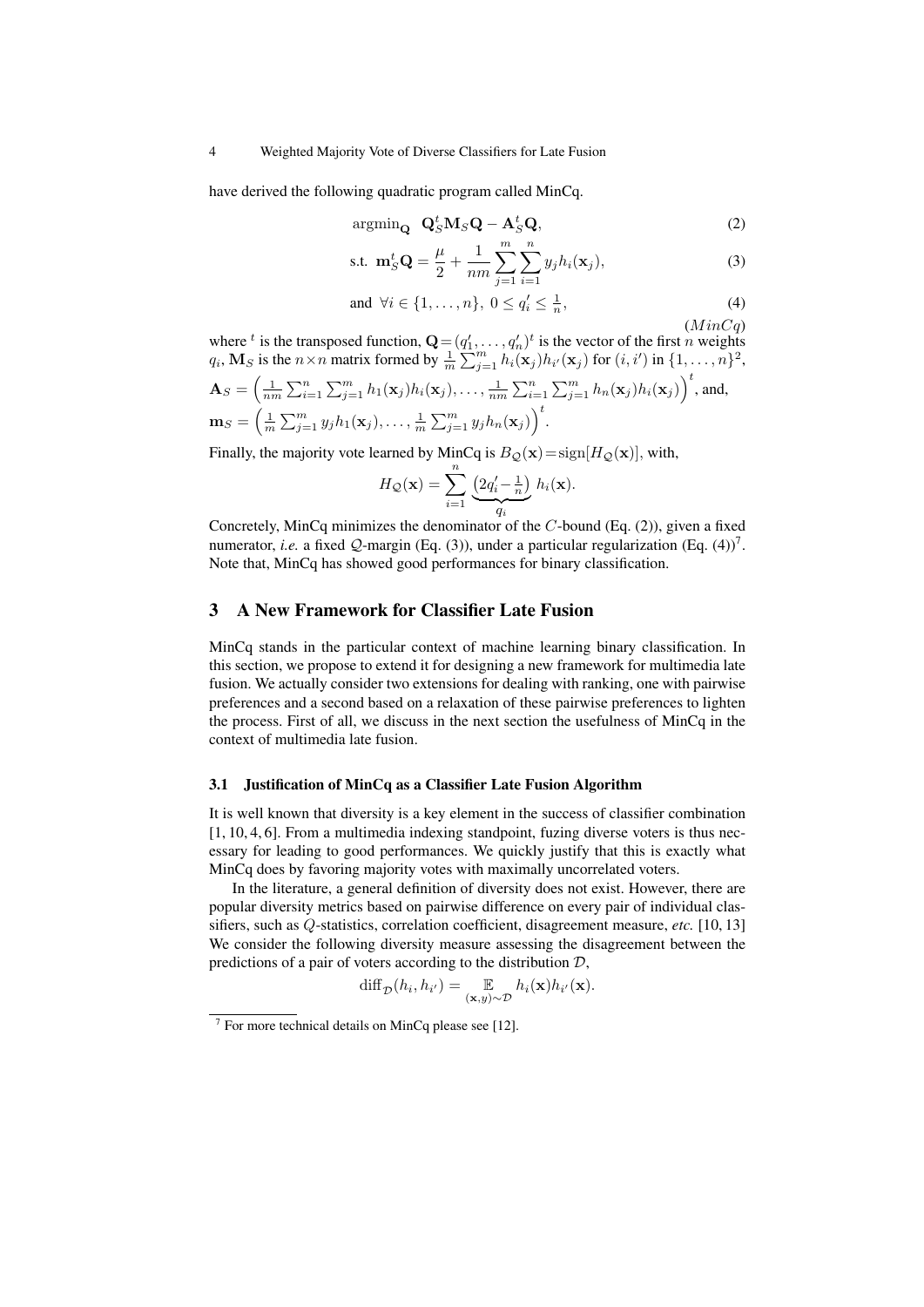have derived the following quadratic program called MinCq.

$$
\operatorname{argmin}_{\mathbf{Q}} \quad \mathbf{Q}_S^t \mathbf{M}_S \mathbf{Q} - \mathbf{A}_S^t \mathbf{Q},\tag{2}
$$

s.t. 
$$
\mathbf{m}_S^t \mathbf{Q} = \frac{\mu}{2} + \frac{1}{nm} \sum_{j=1}^m \sum_{i=1}^n y_j h_i(\mathbf{x}_j),
$$
 (3)

$$
\text{and } \forall i \in \{1, \dots, n\}, \ 0 \le q_i' \le \frac{1}{n},\tag{4}
$$

 $(MinCq)$ 

where <sup>t</sup> is the transposed function,  $\mathbf{Q} = (q'_1, \dots, q'_n)^t$  is the vector of the first *n* weights  $q_i$ , M<sub>S</sub> is the  $n \times n$  matrix formed by  $\frac{1}{m} \sum_{j=1}^{m} h_i(\mathbf{x}_j) h_{i'}(\mathbf{x}_j)$  for  $(i, i')$  in  $\{1, \ldots, n\}^2$ ,  $\mathbf{A}_S=\Big(\frac{1}{nm}\sum_{i=1}^n\sum_{j=1}^mh_1(\mathbf{x}_j)h_i(\mathbf{x}_j),\ldots,\frac{1}{nm}\sum_{i=1}^n\sum_{j=1}^mh_n(\mathbf{x}_j)h_i(\mathbf{x}_j)\Big)^t,$  and,  $\mathbf{m}_S = \left(\frac{1}{m}\sum_{j=1}^m y_jh_1(\mathbf{x}_j),\ldots,\frac{1}{m}\sum_{j=1}^m y_jh_n(\mathbf{x}_j)\right)^t.$ 

Finally, the majority vote learned by MinCq is  $B_{\mathcal{Q}}(\mathbf{x}) = \text{sign}[H_{\mathcal{Q}}(\mathbf{x})]$ , with,

$$
H_{\mathcal{Q}}(\mathbf{x}) = \sum_{i=1}^{n} \underbrace{(2q_i' - \frac{1}{n})}_{q_i} h_i(\mathbf{x}).
$$

Concretely, MinCq minimizes the denominator of the  $C$ -bound (Eq. (2)), given a fixed numerator, *i.e.* a fixed  $Q$ -margin (Eq. (3)), under a particular regularization (Eq. (4))<sup>7</sup>. Note that, MinCq has showed good performances for binary classification.

### 3 A New Framework for Classifier Late Fusion

MinCq stands in the particular context of machine learning binary classification. In this section, we propose to extend it for designing a new framework for multimedia late fusion. We actually consider two extensions for dealing with ranking, one with pairwise preferences and a second based on a relaxation of these pairwise preferences to lighten the process. First of all, we discuss in the next section the usefulness of MinCq in the context of multimedia late fusion.

#### 3.1 Justification of MinCq as a Classifier Late Fusion Algorithm

It is well known that diversity is a key element in the success of classifier combination [1, 10, 4, 6]. From a multimedia indexing standpoint, fuzing diverse voters is thus necessary for leading to good performances. We quickly justify that this is exactly what MinCq does by favoring majority votes with maximally uncorrelated voters.

In the literature, a general definition of diversity does not exist. However, there are popular diversity metrics based on pairwise difference on every pair of individual classifiers, such as Q-statistics, correlation coefficient, disagreement measure, *etc.* [10, 13] We consider the following diversity measure assessing the disagreement between the predictions of a pair of voters according to the distribution  $D$ .

$$
\mathrm{diff}_{\mathcal{D}}(h_i, h_{i'}) = \mathop{\mathbb{E}}_{(\mathbf{x},y) \sim \mathcal{D}} h_i(\mathbf{x}) h_{i'}(\mathbf{x}).
$$

 $7$  For more technical details on MinCq please see [12].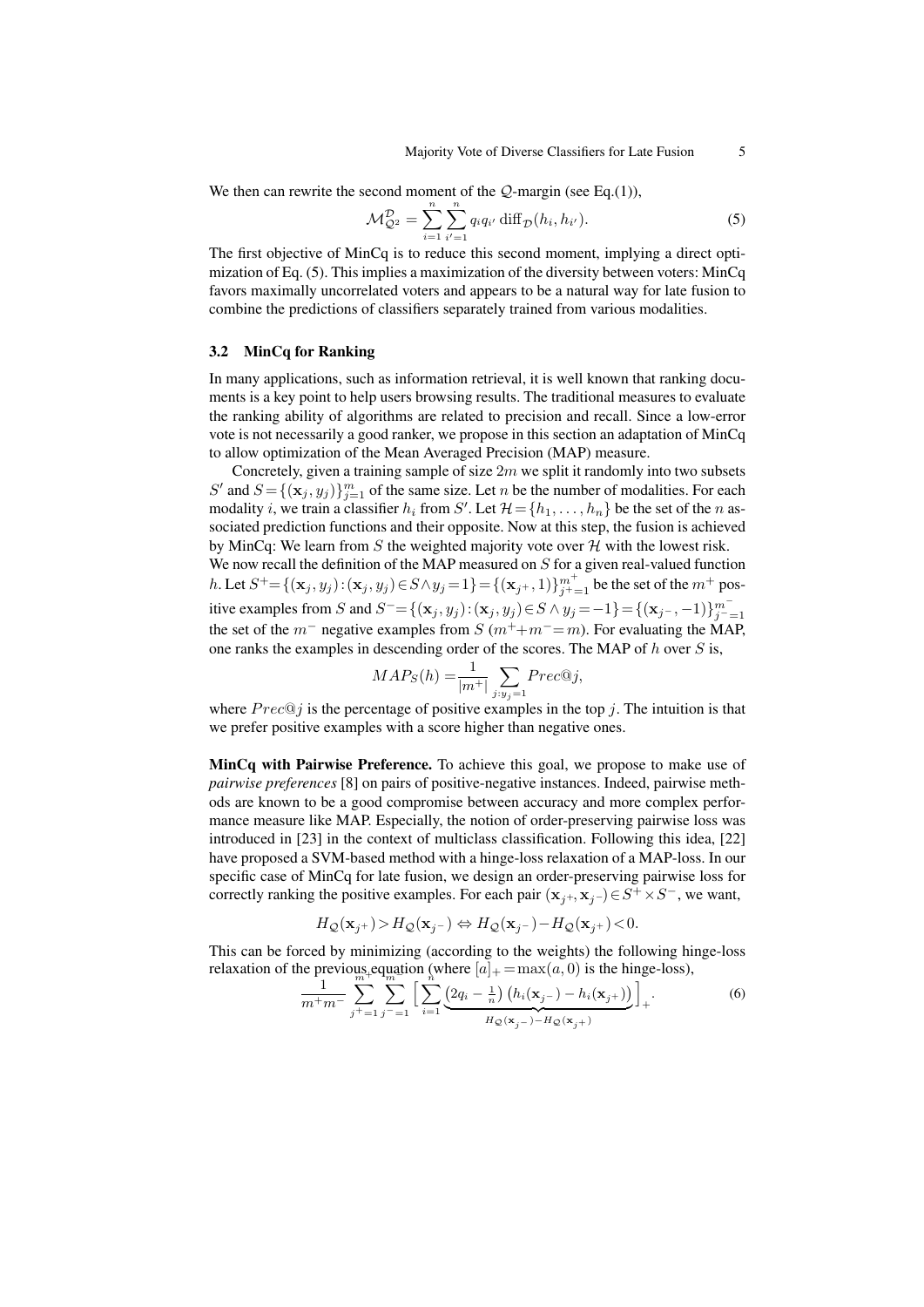We then can rewrite the second moment of the  $Q$ -margin (see Eq.(1)),

$$
\mathcal{M}_{\mathcal{Q}^2}^{\mathcal{D}} = \sum_{i=1}^n \sum_{i'=1}^n q_i q_{i'} \operatorname{diff}_{\mathcal{D}}(h_i, h_{i'}).
$$
 (5)

The first objective of MinCq is to reduce this second moment, implying a direct optimization of Eq. (5). This implies a maximization of the diversity between voters: MinCq favors maximally uncorrelated voters and appears to be a natural way for late fusion to combine the predictions of classifiers separately trained from various modalities.

#### 3.2 MinCq for Ranking

In many applications, such as information retrieval, it is well known that ranking documents is a key point to help users browsing results. The traditional measures to evaluate the ranking ability of algorithms are related to precision and recall. Since a low-error vote is not necessarily a good ranker, we propose in this section an adaptation of MinCq to allow optimization of the Mean Averaged Precision (MAP) measure.

Concretely, given a training sample of size  $2m$  we split it randomly into two subsets S' and  $S = \{(\mathbf{x}_j, y_j)\}_{j=1}^m$  of the same size. Let n be the number of modalities. For each modality *i*, we train a classifier  $h_i$  from S'. Let  $\mathcal{H} = \{h_1, \dots, h_n\}$  be the set of the *n* associated prediction functions and their opposite. Now at this step, the fusion is achieved by MinCq: We learn from  $S$  the weighted majority vote over  $H$  with the lowest risk. We now recall the definition of the MAP measured on  $S$  for a given real-valued function h. Let  $S^+ = \{(\mathbf{x}_j, y_j) : (\mathbf{x}_j, y_j) \in S \land y_j = 1\} = \{(\mathbf{x}_{j^+}, 1)\}_{j^+=1}^{m^+}$  be the set of the  $m^+$  positive examples from S and  $S^- = \{(\mathbf{x}_j, y_j) : (\mathbf{x}_j, y_j) \in S \land y_j = -1\} = \{(\mathbf{x}_{j^-}, -1)\}_{j^-=1}^{m^-}$ the set of the  $m^-$  negative examples from  $S(m^+ + m^- = m)$ . For evaluating the MAP, one ranks the examples in descending order of the scores. The MAP of  $h$  over  $S$  is,

$$
MAP_S(h) = \frac{1}{|m^+|} \sum_{j:y_j=1} Prec@j,
$$

where  $Prec@j$  is the percentage of positive examples in the top j. The intuition is that we prefer positive examples with a score higher than negative ones.

MinCq with Pairwise Preference. To achieve this goal, we propose to make use of *pairwise preferences* [8] on pairs of positive-negative instances. Indeed, pairwise methods are known to be a good compromise between accuracy and more complex performance measure like MAP. Especially, the notion of order-preserving pairwise loss was introduced in [23] in the context of multiclass classification. Following this idea, [22] have proposed a SVM-based method with a hinge-loss relaxation of a MAP-loss. In our specific case of MinCq for late fusion, we design an order-preserving pairwise loss for correctly ranking the positive examples. For each pair  $(x_{j+}, x_{j-}) \in S^+ \times S^-$ , we want,

$$
H_{\mathcal{Q}}(\mathbf{x}_{j+}) > H_{\mathcal{Q}}(\mathbf{x}_{j-}) \Leftrightarrow H_{\mathcal{Q}}(\mathbf{x}_{j-}) - H_{\mathcal{Q}}(\mathbf{x}_{j+}) < 0.
$$

This can be forced by minimizing (according to the weights) the following hinge-loss relaxation of the previous equation (where  $[a]_+ = \max(a, 0)$  is the hinge-loss),<br> $\underbrace{1}_{\text{max}} \sum_{n=1}^{\infty} \sum_{n=1}^{\infty} \left[ \sum_{n=1}^{\infty} (2a_i - \frac{1}{n}) (h_i(\mathbf{x}_i)) - h_i(\mathbf{x}_i) \right]$ 

$$
\frac{1}{m+m} \sum_{j+=1}^{m} \sum_{j=-1}^{m} \left[ \sum_{i=1}^{n} \underbrace{\left( 2q_i - \frac{1}{n} \right) \left( h_i(\mathbf{x}_{j-}) - h_i(\mathbf{x}_{j+}) \right)}_{H_{\mathcal{Q}}(\mathbf{x}_{j-}) - H_{\mathcal{Q}}(\mathbf{x}_{j+})} \right]_+.
$$
(6)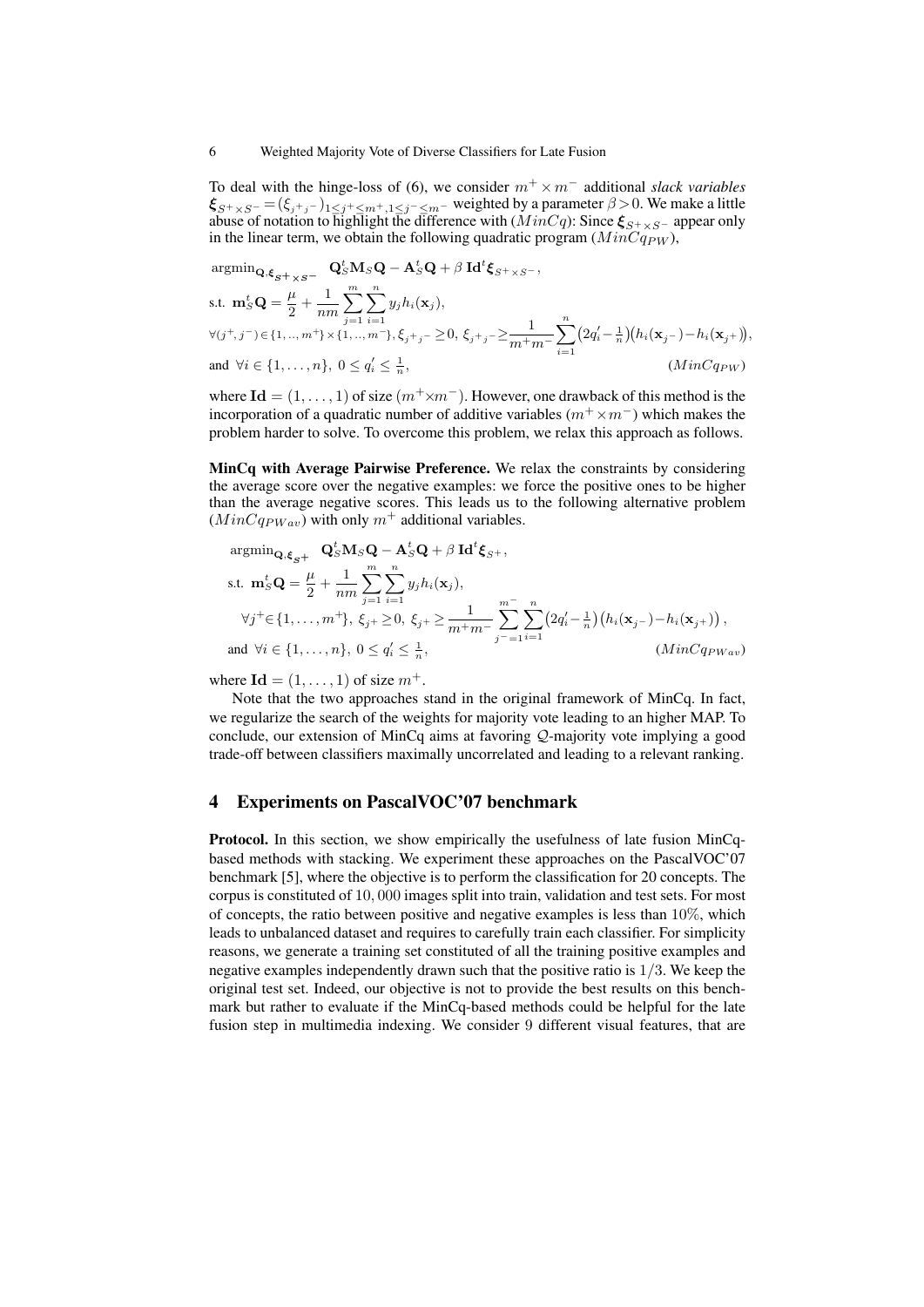To deal with the hinge-loss of (6), we consider  $m^+ \times m^-$  additional *slack variables*  $\xi_{S^+\times S^-}$  =  $(\xi_{j^+j^-})_{1\leq j^+\leq m^+, 1\leq j^-\leq m^-}$  weighted by a parameter  $\beta > 0$ . We make a little abuse of notation to highlight the difference with  $(MinCq)$ : Since  $\xi_{S^+\times S^-}$  appear only in the linear term, we obtain the following quadratic program  $(MinCq_{PW})$ ,

$$
\operatorname*{argmin}_{\mathbf{Q}, \xi_{S^+ \times S^-}} \mathbf{Q}_S^t \mathbf{M}_S \mathbf{Q} - \mathbf{A}_S^t \mathbf{Q} + \beta \operatorname{Id}^t \xi_{S^+ \times S^-},
$$
\ns.t.  $\mathbf{m}_S^t \mathbf{Q} = \frac{\mu}{2} + \frac{1}{nm} \sum_{j=1}^m \sum_{i=1}^n y_j h_i(\mathbf{x}_j),$   
\n
$$
\forall (j^+, j^-) \in \{1, ..., m^+\} \times \{1, ..., m^-, \xi_{j^+j^-} \ge 0, \xi_{j^+j^-} \ge \frac{1}{m^+ m^-} \sum_{i=1}^n (2q_i' - \frac{1}{n}) (h_i(\mathbf{x}_{j^-}) - h_i(\mathbf{x}_{j^+})),
$$
\nand  $\forall i \in \{1, ..., n\}, 0 \le q_i' \le \frac{1}{n},$  *(MinCq<sub>P</sub>W)*

where  $Id = (1, \ldots, 1)$  of size  $(m^+ \times m^-)$ . However, one drawback of this method is the incorporation of a quadratic number of additive variables  $(m^+ \times m^-)$  which makes the problem harder to solve. To overcome this problem, we relax this approach as follows.

MinCq with Average Pairwise Preference. We relax the constraints by considering the average score over the negative examples: we force the positive ones to be higher than the average negative scores. This leads us to the following alternative problem  $(MinCq_{PWav})$  with only  $m^+$  additional variables.

$$
\operatorname{argmin}_{\mathbf{Q}, \xi_{S^+}} \mathbf{Q}_S^t \mathbf{M}_S \mathbf{Q} - \mathbf{A}_S^t \mathbf{Q} + \beta \operatorname{Id}^t \xi_{S^+},
$$
\ns.t.  $\mathbf{m}_S^t \mathbf{Q} = \frac{\mu}{2} + \frac{1}{nm} \sum_{j=1}^m \sum_{i=1}^n y_j h_i(\mathbf{x}_j),$   
\n
$$
\forall j^+ \in \{1, \dots, m^+\}, \xi_{j^+} \geq 0, \xi_{j^+} \geq \frac{1}{m^+ m^-} \sum_{j^- = 1}^{m^-} \sum_{i=1}^n (2q'_i - \frac{1}{n}) (h_i(\mathbf{x}_{j^-}) - h_i(\mathbf{x}_{j^+})) ,
$$
\nand  $\forall i \in \{1, \dots, n\}, 0 \leq q'_i \leq \frac{1}{n},$  *(MinCq\_{PWav})*

where  $\mathbf{Id} = (1, \ldots, 1)$  of size  $m^+$ .

Note that the two approaches stand in the original framework of MinCq. In fact, we regularize the search of the weights for majority vote leading to an higher MAP. To conclude, our extension of MinCq aims at favoring Q-majority vote implying a good trade-off between classifiers maximally uncorrelated and leading to a relevant ranking.

#### 4 Experiments on PascalVOC'07 benchmark

Protocol. In this section, we show empirically the usefulness of late fusion MinCqbased methods with stacking. We experiment these approaches on the PascalVOC'07 benchmark [5], where the objective is to perform the classification for 20 concepts. The corpus is constituted of 10, 000 images split into train, validation and test sets. For most of concepts, the ratio between positive and negative examples is less than  $10\%$ , which leads to unbalanced dataset and requires to carefully train each classifier. For simplicity reasons, we generate a training set constituted of all the training positive examples and negative examples independently drawn such that the positive ratio is  $1/3$ . We keep the original test set. Indeed, our objective is not to provide the best results on this benchmark but rather to evaluate if the MinCq-based methods could be helpful for the late fusion step in multimedia indexing. We consider 9 different visual features, that are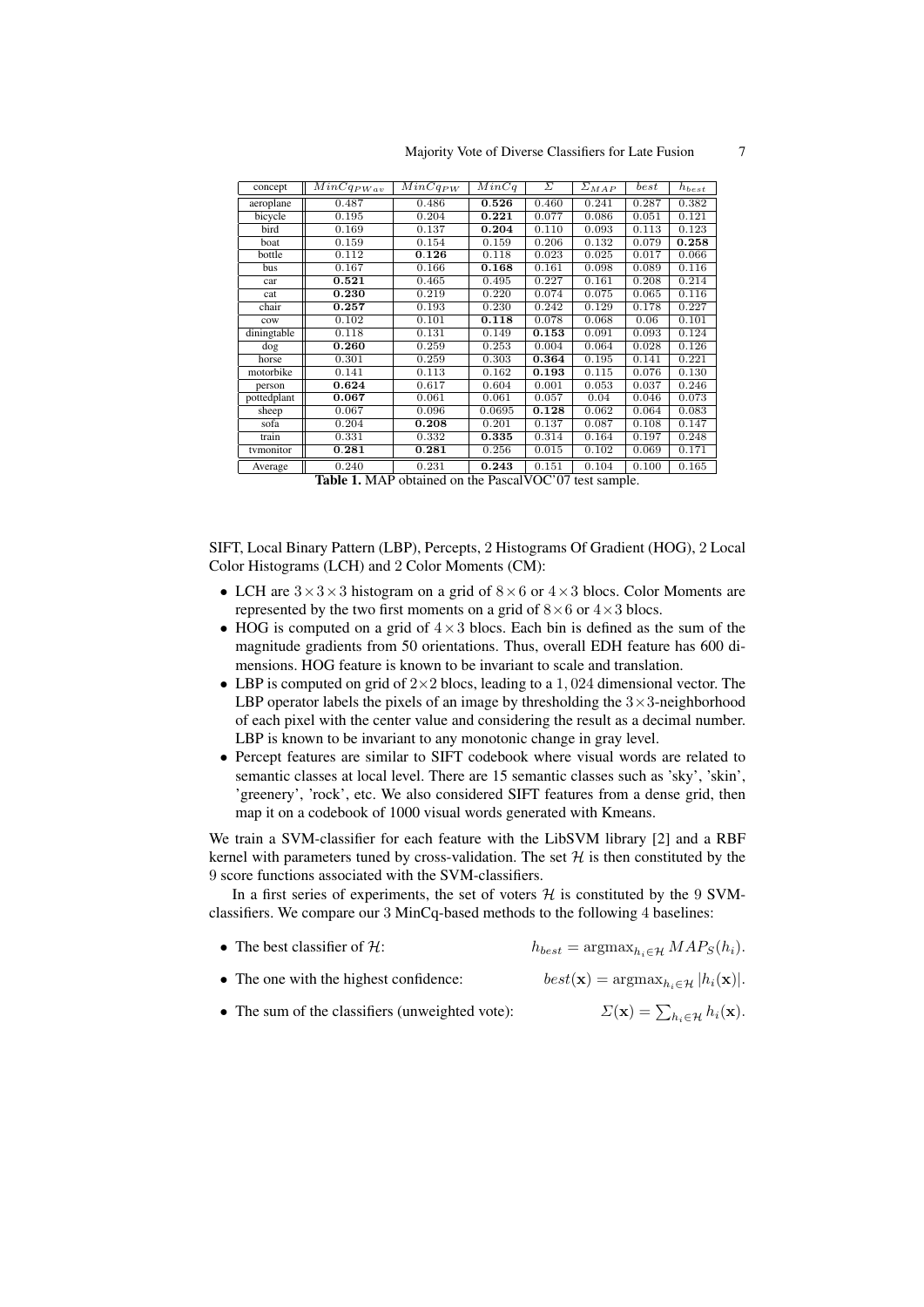| concept     | $\overline{MinC}q_{PWav}$ | $\overline{MinCq_{PW}}$ | MinCq  | Σ     | $\Sigma_{MAP}$ | $_{best}$ | $h_{best}$ |
|-------------|---------------------------|-------------------------|--------|-------|----------------|-----------|------------|
| aeroplane   | 0.487                     | 0.486                   | 0.526  | 0.460 | 0.241          | 0.287     | 0.382      |
| bicycle     | 0.195                     | 0.204                   | 0.221  | 0.077 | 0.086          | 0.051     | 0.121      |
| bird        | 0.169                     | 0.137                   | 0.204  | 0.110 | 0.093          | 0.113     | 0.123      |
| boat        | 0.159                     | 0.154                   | 0.159  | 0.206 | 0.132          | 0.079     | 0.258      |
| bottle      | 0.112                     | 0.126                   | 0.118  | 0.023 | 0.025          | 0.017     | 0.066      |
| bus         | 0.167                     | 0.166                   | 0.168  | 0.161 | 0.098          | 0.089     | 0.116      |
| car         | 0.521                     | 0.465                   | 0.495  | 0.227 | 0.161          | 0.208     | 0.214      |
| cat         | 0.230                     | 0.219                   | 0.220  | 0.074 | 0.075          | 0.065     | 0.116      |
| chair       | 0.257                     | 0.193                   | 0.230  | 0.242 | 0.129          | 0.178     | 0.227      |
| cow         | 0.102                     | 0.101                   | 0.118  | 0.078 | 0.068          | 0.06      | 0.101      |
| diningtable | 0.118                     | 0.131                   | 0.149  | 0.153 | 0.091          | 0.093     | 0.124      |
| dog         | 0.260                     | 0.259                   | 0.253  | 0.004 | 0.064          | 0.028     | 0.126      |
| horse       | 0.301                     | 0.259                   | 0.303  | 0.364 | 0.195          | 0.141     | 0.221      |
| motorbike   | 0.141                     | 0.113                   | 0.162  | 0.193 | 0.115          | 0.076     | 0.130      |
| person      | 0.624                     | 0.617                   | 0.604  | 0.001 | 0.053          | 0.037     | 0.246      |
| pottedplant | 0.067                     | 0.061                   | 0.061  | 0.057 | 0.04           | 0.046     | 0.073      |
| sheep       | 0.067                     | 0.096                   | 0.0695 | 0.128 | 0.062          | 0.064     | 0.083      |
| sofa        | 0.204                     | 0.208                   | 0.201  | 0.137 | 0.087          | 0.108     | 0.147      |
| train       | 0.331                     | 0.332                   | 0.335  | 0.314 | 0.164          | 0.197     | 0.248      |
| tymonitor   | 0.281                     | 0.281                   | 0.256  | 0.015 | 0.102          | 0.069     | 0.171      |
| Average     | 0.240                     | 0.231                   | 0.243  | 0.151 | 0.104          | 0.100     | 0.165      |

Table 1. MAP obtained on the PascalVOC'07 test sample.

SIFT, Local Binary Pattern (LBP), Percepts, 2 Histograms Of Gradient (HOG), 2 Local Color Histograms (LCH) and 2 Color Moments (CM):

- LCH are  $3 \times 3 \times 3$  histogram on a grid of  $8 \times 6$  or  $4 \times 3$  blocs. Color Moments are represented by the two first moments on a grid of  $8 \times 6$  or  $4 \times 3$  blocs.
- HOG is computed on a grid of  $4 \times 3$  blocs. Each bin is defined as the sum of the magnitude gradients from 50 orientations. Thus, overall EDH feature has 600 dimensions. HOG feature is known to be invariant to scale and translation.
- LBP is computed on grid of  $2\times 2$  blocs, leading to a 1, 024 dimensional vector. The LBP operator labels the pixels of an image by thresholding the  $3 \times 3$ -neighborhood of each pixel with the center value and considering the result as a decimal number. LBP is known to be invariant to any monotonic change in gray level.
- Percept features are similar to SIFT codebook where visual words are related to semantic classes at local level. There are 15 semantic classes such as 'sky', 'skin', 'greenery', 'rock', etc. We also considered SIFT features from a dense grid, then map it on a codebook of 1000 visual words generated with Kmeans.

We train a SVM-classifier for each feature with the LibSVM library [2] and a RBF kernel with parameters tuned by cross-validation. The set  $H$  is then constituted by the 9 score functions associated with the SVM-classifiers.

In a first series of experiments, the set of voters  $H$  is constituted by the 9 SVMclassifiers. We compare our 3 MinCq-based methods to the following 4 baselines:

| • The best classifier of $H$ :                  | $h_{best} = \text{argmax}_{h_i \in \mathcal{H}} MAP_S(h_i).$                        |
|-------------------------------------------------|-------------------------------------------------------------------------------------|
| • The one with the highest confidence:          | $best(\mathbf{x}) = \operatorname{argmax}_{h_i \in \mathcal{H}}  h_i(\mathbf{x}) .$ |
| • The sum of the classifiers (unweighted vote): | $\Sigma(\mathbf{x}) = \sum_{h_i \in \mathcal{H}} h_i(\mathbf{x}).$                  |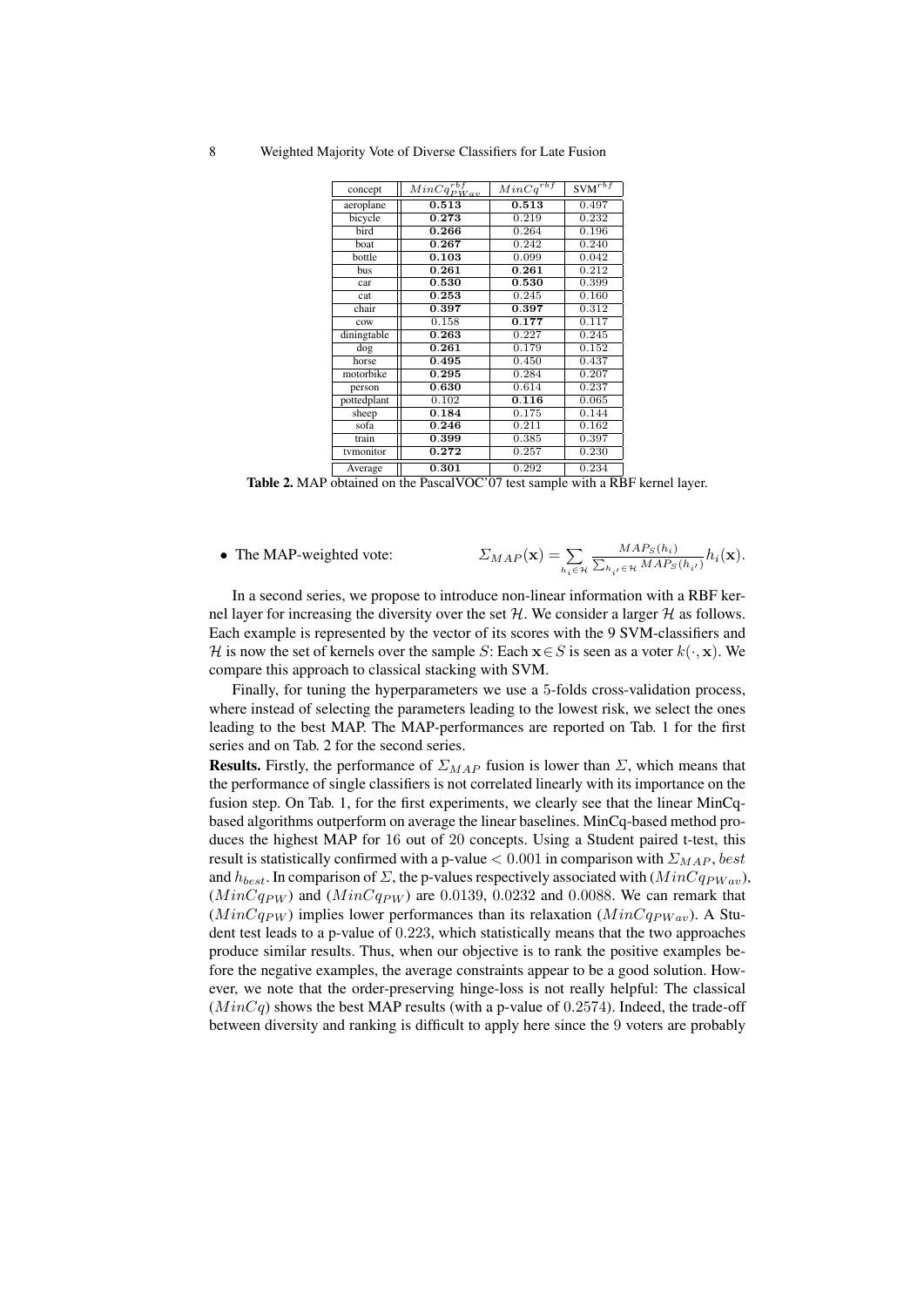| concept     | $\overline{MinCq_{PWav}^{rbf}}$ | $Min\overline{Cq^{rbf}}$ | $\text{SWM}^{rbf}$ |
|-------------|---------------------------------|--------------------------|--------------------|
| aeroplane   | 0.513                           | 0.513                    | 0.497              |
| bicycle     | 0.273                           | 0.219                    | 0.232              |
| bird        | 0.266                           | 0.264                    | 0.196              |
| boat        | 0.267                           | 0.242                    | 0.240              |
| bottle      | 0.103                           | 0.099                    | 0.042              |
| bus         | 0.261                           | 0.261                    | 0.212              |
| car         | 0.530                           | 0.530                    | 0.399              |
| cat         | 0.253                           | 0.245                    | 0.160              |
| chair       | 0.397                           | 0.397                    | 0.312              |
| cow         | 0.158                           | 0.177                    | 0.117              |
| diningtable | 0.263                           | 0.227                    | 0.245              |
| dog         | 0.261                           | 0.179                    | 0.152              |
| horse       | 0.495                           | 0.450                    | 0.437              |
| motorbike   | 0.295                           | 0.284                    | 0.207              |
| person      | 0.630                           | 0.614                    | 0.237              |
| pottedplant | 0.102                           | 0.116                    | 0.065              |
| sheep       | 0.184                           | 0.175                    | 0.144              |
| sofa        | 0.246                           | 0.211                    | 0.162              |
| train       | 0.399                           | 0.385                    | 0.397              |
| tymonitor   | 0.272                           | 0.257                    | 0.230              |
| Average     | 0.301                           | 0.292                    | 0.234              |

Table 2. MAP obtained on the PascalVOC'07 test sample with a RBF kernel layer.

## • The MAP-weighted vote:  $\lambda$

$$
\Sigma_{MAP}(\mathbf{x}) = \sum_{h_i \in \mathcal{H}} \frac{MAP_S(h_i)}{\sum_{h_i \in \mathcal{H}} MAP_S(h_i)} h_i(\mathbf{x}).
$$

In a second series, we propose to introduce non-linear information with a RBF kernel layer for increasing the diversity over the set  $H$ . We consider a larger  $H$  as follows. Each example is represented by the vector of its scores with the 9 SVM-classifiers and H is now the set of kernels over the sample S: Each  $\mathbf{x} \in S$  is seen as a voter  $k(\cdot, \mathbf{x})$ . We compare this approach to classical stacking with SVM.

Finally, for tuning the hyperparameters we use a 5-folds cross-validation process, where instead of selecting the parameters leading to the lowest risk, we select the ones leading to the best MAP. The MAP-performances are reported on Tab. 1 for the first series and on Tab. 2 for the second series.

**Results.** Firstly, the performance of  $\Sigma_{MAP}$  fusion is lower than  $\Sigma$ , which means that the performance of single classifiers is not correlated linearly with its importance on the fusion step. On Tab. 1, for the first experiments, we clearly see that the linear MinCqbased algorithms outperform on average the linear baselines. MinCq-based method produces the highest MAP for 16 out of 20 concepts. Using a Student paired t-test, this result is statistically confirmed with a p-value  $< 0.001$  in comparison with  $\Sigma_{MAP}$ , best and  $h_{best}$ . In comparison of  $\Sigma$ , the p-values respectively associated with  $(MinCq_{PWav})$ ,  $(MinCq_{PW})$  and  $(MinCq_{PW})$  are 0.0139, 0.0232 and 0.0088. We can remark that  $(MinCq_{PW})$  implies lower performances than its relaxation  $(MinCq_{PW\,av})$ . A Student test leads to a p-value of 0.223, which statistically means that the two approaches produce similar results. Thus, when our objective is to rank the positive examples before the negative examples, the average constraints appear to be a good solution. However, we note that the order-preserving hinge-loss is not really helpful: The classical  $(MinCq)$  shows the best MAP results (with a p-value of 0.2574). Indeed, the trade-off between diversity and ranking is difficult to apply here since the 9 voters are probably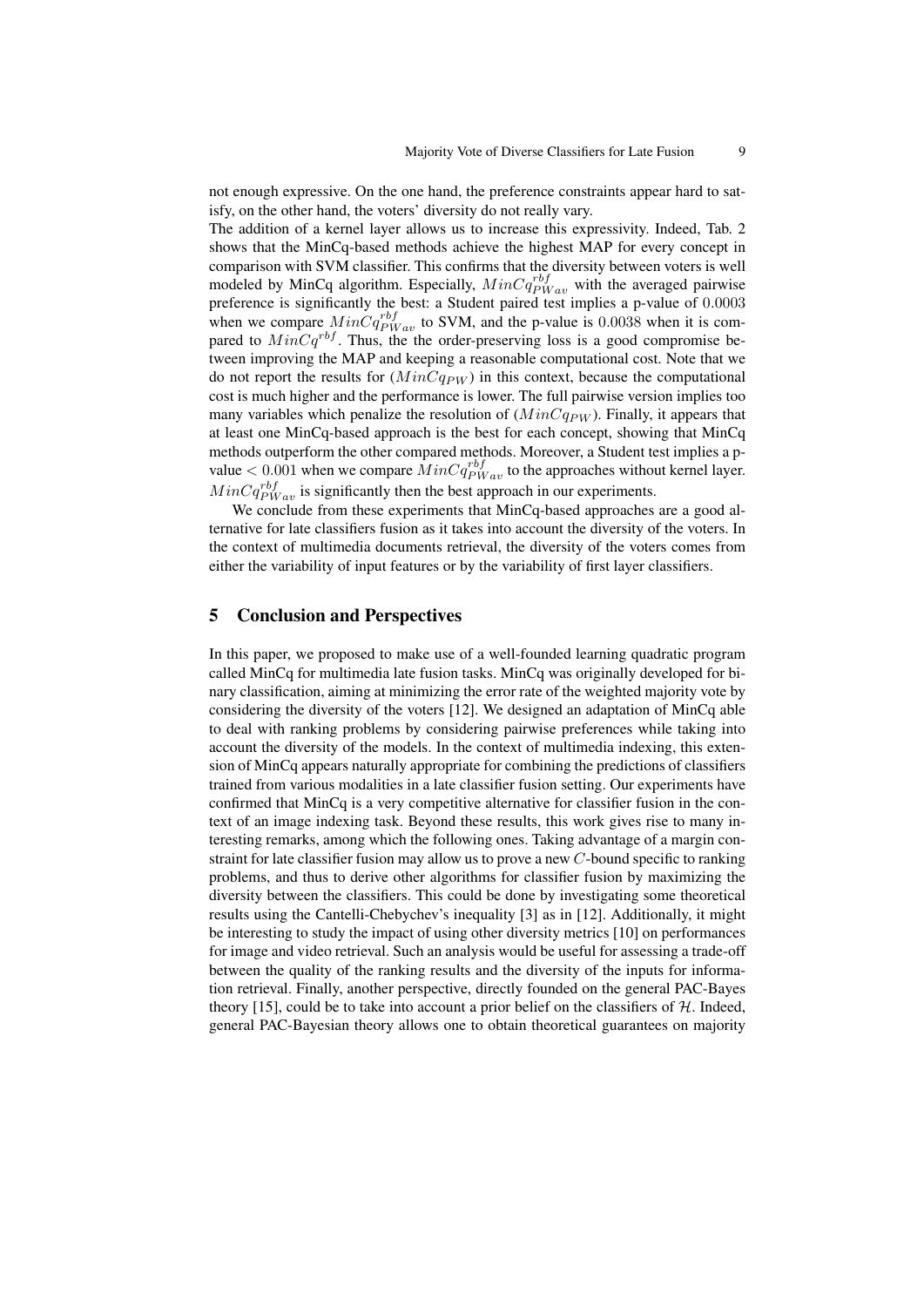not enough expressive. On the one hand, the preference constraints appear hard to satisfy, on the other hand, the voters' diversity do not really vary.

The addition of a kernel layer allows us to increase this expressivity. Indeed, Tab. 2 shows that the MinCq-based methods achieve the highest MAP for every concept in comparison with SVM classifier. This confirms that the diversity between voters is well modeled by MinCq algorithm. Especially,  $MinCq_{PWav}^{rbf}$  with the averaged pairwise preference is significantly the best: a Student paired test implies a p-value of 0.0003 when we compare  $MinCq_{PWav}^{rbf}$  to SVM, and the p-value is 0.0038 when it is compared to  $MinCq^{rbf}$ . Thus, the the order-preserving loss is a good compromise between improving the MAP and keeping a reasonable computational cost. Note that we do not report the results for  $(MinCq_{PW})$  in this context, because the computational cost is much higher and the performance is lower. The full pairwise version implies too many variables which penalize the resolution of  $(MinCq_{PW})$ . Finally, it appears that at least one MinCq-based approach is the best for each concept, showing that MinCq methods outperform the other compared methods. Moreover, a Student test implies a pvalue  $< 0.001$  when we compare  $\dot{M}$ in $Cq_{PWav}^{rbf}$  to the approaches without kernel layer.  $MinCq_{PWav}^{rbf}$  is significantly then the best approach in our experiments.

We conclude from these experiments that MinCq-based approaches are a good alternative for late classifiers fusion as it takes into account the diversity of the voters. In the context of multimedia documents retrieval, the diversity of the voters comes from either the variability of input features or by the variability of first layer classifiers.

#### 5 Conclusion and Perspectives

In this paper, we proposed to make use of a well-founded learning quadratic program called MinCq for multimedia late fusion tasks. MinCq was originally developed for binary classification, aiming at minimizing the error rate of the weighted majority vote by considering the diversity of the voters [12]. We designed an adaptation of MinCq able to deal with ranking problems by considering pairwise preferences while taking into account the diversity of the models. In the context of multimedia indexing, this extension of MinCq appears naturally appropriate for combining the predictions of classifiers trained from various modalities in a late classifier fusion setting. Our experiments have confirmed that MinCq is a very competitive alternative for classifier fusion in the context of an image indexing task. Beyond these results, this work gives rise to many interesting remarks, among which the following ones. Taking advantage of a margin constraint for late classifier fusion may allow us to prove a new C-bound specific to ranking problems, and thus to derive other algorithms for classifier fusion by maximizing the diversity between the classifiers. This could be done by investigating some theoretical results using the Cantelli-Chebychev's inequality [3] as in [12]. Additionally, it might be interesting to study the impact of using other diversity metrics [10] on performances for image and video retrieval. Such an analysis would be useful for assessing a trade-off between the quality of the ranking results and the diversity of the inputs for information retrieval. Finally, another perspective, directly founded on the general PAC-Bayes theory [15], could be to take into account a prior belief on the classifiers of  $H$ . Indeed, general PAC-Bayesian theory allows one to obtain theoretical guarantees on majority